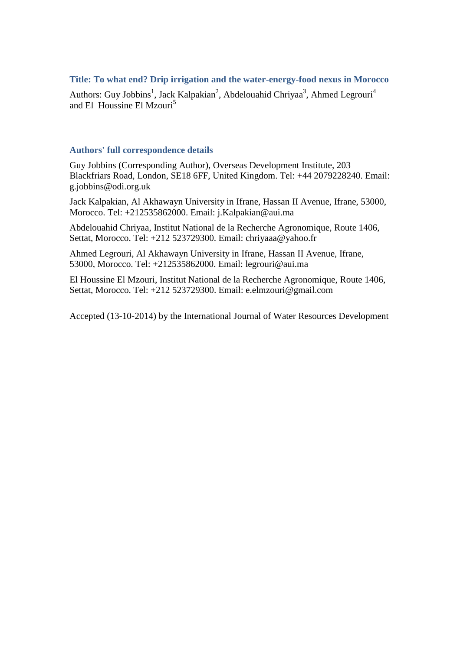# **Title: To what end? Drip irrigation and the water-energy-food nexus in Morocco**

Authors: Guy Jobbins<sup>1</sup>, Jack Kalpakian<sup>2</sup>, Abdelouahid Chriyaa<sup>3</sup>, Ahmed Legrouri<sup>4</sup> and El Houssine El Mzouri<sup>5</sup>

### **Authors' full correspondence details**

Guy Jobbins (Corresponding Author), Overseas Development Institute, 203 Blackfriars Road, London, SE18 6FF, United Kingdom. Tel: +44 2079228240. Email: g.jobbins@odi.org.uk

Jack Kalpakian, Al Akhawayn University in Ifrane, Hassan II Avenue, Ifrane, 53000, Morocco. Tel: +212535862000. Email: j.Kalpakian@aui.ma

Abdelouahid Chriyaa, Institut National de la Recherche Agronomique, Route 1406, Settat, Morocco. Tel: +212 523729300. Email: chriyaaa@yahoo.fr

Ahmed Legrouri, Al Akhawayn University in Ifrane, Hassan II Avenue, Ifrane, 53000, Morocco. Tel: +212535862000. Email: legrouri@aui.ma

El Houssine El Mzouri, Institut National de la Recherche Agronomique, Route 1406, Settat, Morocco. Tel: +212 523729300. Email: e.elmzouri@gmail.com

Accepted (13-10-2014) by the International Journal of Water Resources Development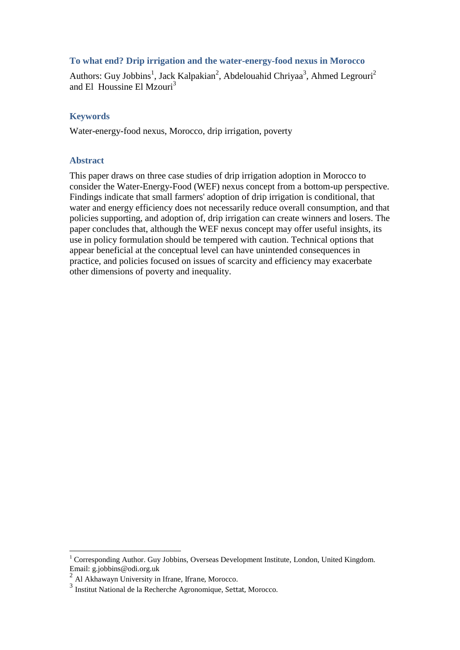# **To what end? Drip irrigation and the water-energy-food nexus in Morocco**

Authors: Guy Jobbins<sup>1</sup>, Jack Kalpakian<sup>2</sup>, Abdelouahid Chriyaa<sup>3</sup>, Ahmed Legrouri<sup>2</sup> and El Houssine El Mzouri<sup>3</sup>

# **Keywords**

Water-energy-food nexus, Morocco, drip irrigation, poverty

# **Abstract**

This paper draws on three case studies of drip irrigation adoption in Morocco to consider the Water-Energy-Food (WEF) nexus concept from a bottom-up perspective. Findings indicate that small farmers' adoption of drip irrigation is conditional, that water and energy efficiency does not necessarily reduce overall consumption, and that policies supporting, and adoption of, drip irrigation can create winners and losers. The paper concludes that, although the WEF nexus concept may offer useful insights, its use in policy formulation should be tempered with caution. Technical options that appear beneficial at the conceptual level can have unintended consequences in practice, and policies focused on issues of scarcity and efficiency may exacerbate other dimensions of poverty and inequality.

 $\overline{a}$ 

 $1$  Corresponding Author. Guy Jobbins, Overseas Development Institute, London, United Kingdom. Email: g.jobbins@odi.org.uk

<sup>2</sup> Al Akhawayn University in Ifrane, Ifrane, Morocco.

<sup>3</sup> Institut National de la Recherche Agronomique, Settat, Morocco.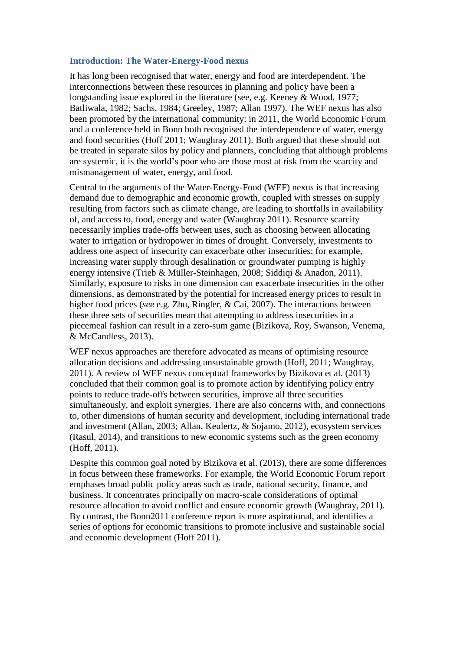### **Introduction: The Water-Energy-Food nexus**

It has long been recognised that water, energy and food are interdependent. The interconnections between these resources in planning and policy have been a longstanding issue explored in the literature (see, e.g. Keeney & Wood, 1977; Batliwala, 1982; Sachs, 1984; Greeley, 1987; Allan 1997). The WEF nexus has also been promoted by the international community: in 2011, the World Economic Forum and a conference held in Bonn both recognised the interdependence of water, energy and food securities (Hoff 2011; Waughray 2011). Both argued that these should not be treated in separate silos by policy and planners, concluding that although problems are systemic, it is the world's poor who are those most at risk from the scarcity and mismanagement of water, energy, and food.

Central to the arguments of the Water-Energy-Food (WEF) nexus is that increasing demand due to demographic and economic growth, coupled with stresses on supply resulting from factors such as climate change, are leading to shortfalls in availability of, and access to, food, energy and water (Waughray 2011). Resource scarcity necessarily implies trade-offs between uses, such as choosing between allocating water to irrigation or hydropower in times of drought. Conversely, investments to address one aspect of insecurity can exacerbate other insecurities: for example, increasing water supply through desalination or groundwater pumping is highly energy intensive (Trieb & Müller-Steinhagen, 2008; Siddiqi & Anadon, 2011). Similarly, exposure to risks in one dimension can exacerbate insecurities in the other dimensions, as demonstrated by the potential for increased energy prices to result in higher food prices (*see* e.g. Zhu, Ringler, & Cai, 2007). The interactions between these three sets of securities mean that attempting to address insecurities in a piecemeal fashion can result in a zero-sum game (Bizikova, Roy, Swanson, Venema, & McCandless, 2013).

WEF nexus approaches are therefore advocated as means of optimising resource allocation decisions and addressing unsustainable growth (Hoff, 2011; Waughray, 2011). A review of WEF nexus conceptual frameworks by Bizikova et al. (2013) concluded that their common goal is to promote action by identifying policy entry points to reduce trade-offs between securities, improve all three securities simultaneously, and exploit synergies. There are also concerns with, and connections to, other dimensions of human security and development, including international trade and investment (Allan, 2003; Allan, Keulertz, & Sojamo, 2012), ecosystem services (Rasul, 2014), and transitions to new economic systems such as the green economy (Hoff, 2011).

Despite this common goal noted by Bizikova et al. (2013), there are some differences in focus between these frameworks. For example, the World Economic Forum report emphases broad public policy areas such as trade, national security, finance, and business. It concentrates principally on macro-scale considerations of optimal resource allocation to avoid conflict and ensure economic growth (Waughray, 2011). By contrast, the Bonn2011 conference report is more aspirational, and identifies a series of options for economic transitions to promote inclusive and sustainable social and economic development (Hoff 2011).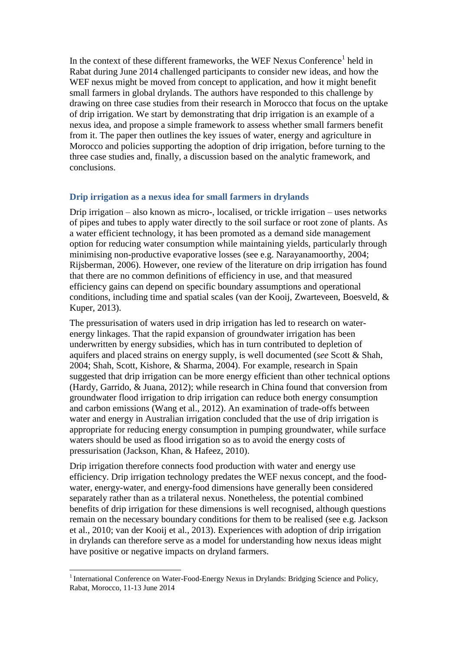In the context of these different frameworks, the WEF Nexus Conference<sup>1</sup> held in Rabat during June 2014 challenged participants to consider new ideas, and how the WEF nexus might be moved from concept to application, and how it might benefit small farmers in global drylands. The authors have responded to this challenge by drawing on three case studies from their research in Morocco that focus on the uptake of drip irrigation. We start by demonstrating that drip irrigation is an example of a nexus idea, and propose a simple framework to assess whether small farmers benefit from it. The paper then outlines the key issues of water, energy and agriculture in Morocco and policies supporting the adoption of drip irrigation, before turning to the three case studies and, finally, a discussion based on the analytic framework, and conclusions.

## **Drip irrigation as a nexus idea for small farmers in drylands**

Drip irrigation – also known as micro-, localised, or trickle irrigation – uses networks of pipes and tubes to apply water directly to the soil surface or root zone of plants. As a water efficient technology, it has been promoted as a demand side management option for reducing water consumption while maintaining yields, particularly through minimising non-productive evaporative losses (see e.g. Narayanamoorthy, 2004; Rijsberman, 2006). However, one review of the literature on drip irrigation has found that there are no common definitions of efficiency in use, and that measured efficiency gains can depend on specific boundary assumptions and operational conditions, including time and spatial scales (van der Kooij, Zwarteveen, Boesveld, & Kuper, 2013).

The pressurisation of waters used in drip irrigation has led to research on waterenergy linkages. That the rapid expansion of groundwater irrigation has been underwritten by energy subsidies, which has in turn contributed to depletion of aquifers and placed strains on energy supply, is well documented (*see* Scott & Shah, 2004; Shah, Scott, Kishore, & Sharma, 2004). For example, research in Spain suggested that drip irrigation can be more energy efficient than other technical options (Hardy, Garrido, & Juana, 2012); while research in China found that conversion from groundwater flood irrigation to drip irrigation can reduce both energy consumption and carbon emissions (Wang et al., 2012). An examination of trade-offs between water and energy in Australian irrigation concluded that the use of drip irrigation is appropriate for reducing energy consumption in pumping groundwater, while surface waters should be used as flood irrigation so as to avoid the energy costs of pressurisation (Jackson, Khan, & Hafeez, 2010).

Drip irrigation therefore connects food production with water and energy use efficiency. Drip irrigation technology predates the WEF nexus concept, and the foodwater, energy-water, and energy-food dimensions have generally been considered separately rather than as a trilateral nexus. Nonetheless, the potential combined benefits of drip irrigation for these dimensions is well recognised, although questions remain on the necessary boundary conditions for them to be realised (see e.g. Jackson et al., 2010; van der Kooij et al., 2013). Experiences with adoption of drip irrigation in drylands can therefore serve as a model for understanding how nexus ideas might have positive or negative impacts on dryland farmers.

 $\overline{a}$ 

<sup>&</sup>lt;sup>1</sup> International Conference on Water-Food-Energy Nexus in Drylands: Bridging Science and Policy, Rabat, Morocco, 11-13 June 2014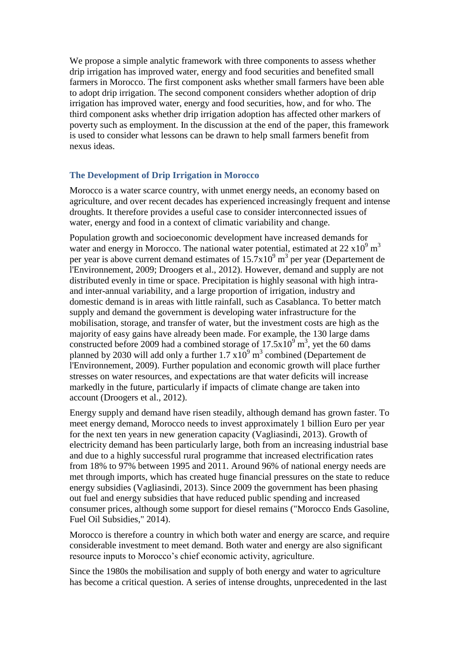We propose a simple analytic framework with three components to assess whether drip irrigation has improved water, energy and food securities and benefited small farmers in Morocco. The first component asks whether small farmers have been able to adopt drip irrigation. The second component considers whether adoption of drip irrigation has improved water, energy and food securities, how, and for who. The third component asks whether drip irrigation adoption has affected other markers of poverty such as employment. In the discussion at the end of the paper, this framework is used to consider what lessons can be drawn to help small farmers benefit from nexus ideas.

# **The Development of Drip Irrigation in Morocco**

Morocco is a water scarce country, with unmet energy needs, an economy based on agriculture, and over recent decades has experienced increasingly frequent and intense droughts. It therefore provides a useful case to consider interconnected issues of water, energy and food in a context of climatic variability and change.

Population growth and socioeconomic development have increased demands for water and energy in Morocco. The national water potential, estimated at 22  $\times 10^9$  m<sup>3</sup> per year is above current demand estimates of  $15.7 \times 10^9$  m<sup>3</sup> per year (Departement de l'Environnement, 2009; Droogers et al., 2012). However, demand and supply are not distributed evenly in time or space. Precipitation is highly seasonal with high intraand inter-annual variability, and a large proportion of irrigation, industry and domestic demand is in areas with little rainfall, such as Casablanca. To better match supply and demand the government is developing water infrastructure for the mobilisation, storage, and transfer of water, but the investment costs are high as the majority of easy gains have already been made. For example, the 130 large dams constructed before 2009 had a combined storage of  $17.5x10^9$  m<sup>3</sup>, yet the 60 dams planned by 2030 will add only a further  $1.7 \times 10^9$  m<sup>3</sup> combined (Departement de l'Environnement, 2009). Further population and economic growth will place further stresses on water resources, and expectations are that water deficits will increase markedly in the future, particularly if impacts of climate change are taken into account (Droogers et al., 2012).

Energy supply and demand have risen steadily, although demand has grown faster. To meet energy demand, Morocco needs to invest approximately 1 billion Euro per year for the next ten years in new generation capacity (Vagliasindi, 2013). Growth of electricity demand has been particularly large, both from an increasing industrial base and due to a highly successful rural programme that increased electrification rates from 18% to 97% between 1995 and 2011. Around 96% of national energy needs are met through imports, which has created huge financial pressures on the state to reduce energy subsidies (Vagliasindi, 2013). Since 2009 the government has been phasing out fuel and energy subsidies that have reduced public spending and increased consumer prices, although some support for diesel remains ("Morocco Ends Gasoline, Fuel Oil Subsidies," 2014).

Morocco is therefore a country in which both water and energy are scarce, and require considerable investment to meet demand. Both water and energy are also significant resource inputs to Morocco's chief economic activity, agriculture.

Since the 1980s the mobilisation and supply of both energy and water to agriculture has become a critical question. A series of intense droughts, unprecedented in the last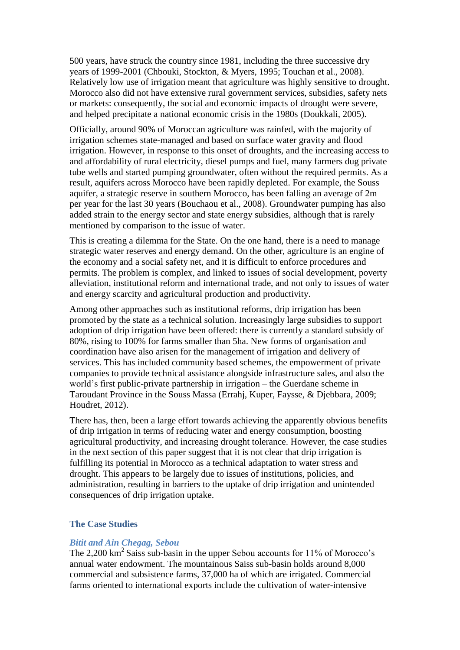500 years, have struck the country since 1981, including the three successive dry years of 1999-2001 (Chbouki, Stockton, & Myers, 1995; Touchan et al., 2008). Relatively low use of irrigation meant that agriculture was highly sensitive to drought. Morocco also did not have extensive rural government services, subsidies, safety nets or markets: consequently, the social and economic impacts of drought were severe, and helped precipitate a national economic crisis in the 1980s (Doukkali, 2005).

Officially, around 90% of Moroccan agriculture was rainfed, with the majority of irrigation schemes state-managed and based on surface water gravity and flood irrigation. However, in response to this onset of droughts, and the increasing access to and affordability of rural electricity, diesel pumps and fuel, many farmers dug private tube wells and started pumping groundwater, often without the required permits. As a result, aquifers across Morocco have been rapidly depleted. For example, the Souss aquifer, a strategic reserve in southern Morocco, has been falling an average of 2m per year for the last 30 years (Bouchaou et al., 2008). Groundwater pumping has also added strain to the energy sector and state energy subsidies, although that is rarely mentioned by comparison to the issue of water.

This is creating a dilemma for the State. On the one hand, there is a need to manage strategic water reserves and energy demand. On the other, agriculture is an engine of the economy and a social safety net, and it is difficult to enforce procedures and permits. The problem is complex, and linked to issues of social development, poverty alleviation, institutional reform and international trade, and not only to issues of water and energy scarcity and agricultural production and productivity.

Among other approaches such as institutional reforms, drip irrigation has been promoted by the state as a technical solution. Increasingly large subsidies to support adoption of drip irrigation have been offered: there is currently a standard subsidy of 80%, rising to 100% for farms smaller than 5ha. New forms of organisation and coordination have also arisen for the management of irrigation and delivery of services. This has included community based schemes, the empowerment of private companies to provide technical assistance alongside infrastructure sales, and also the world's first public-private partnership in irrigation – the Guerdane scheme in Taroudant Province in the Souss Massa (Errahj, Kuper, Faysse, & Djebbara, 2009; Houdret, 2012).

There has, then, been a large effort towards achieving the apparently obvious benefits of drip irrigation in terms of reducing water and energy consumption, boosting agricultural productivity, and increasing drought tolerance. However, the case studies in the next section of this paper suggest that it is not clear that drip irrigation is fulfilling its potential in Morocco as a technical adaptation to water stress and drought. This appears to be largely due to issues of institutions, policies, and administration, resulting in barriers to the uptake of drip irrigation and unintended consequences of drip irrigation uptake.

#### **The Case Studies**

#### *Bitit and Ain Chegag, Sebou*

The 2,200  $\text{km}^2$  Saiss sub-basin in the upper Sebou accounts for 11% of Morocco's annual water endowment. The mountainous Saiss sub-basin holds around 8,000 commercial and subsistence farms, 37,000 ha of which are irrigated. Commercial farms oriented to international exports include the cultivation of water-intensive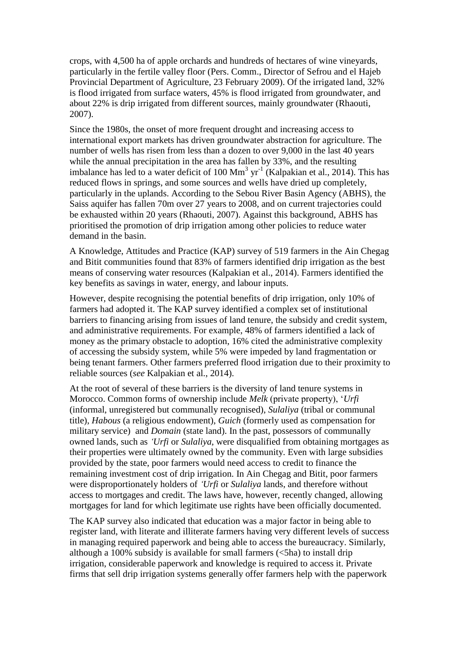crops, with 4,500 ha of apple orchards and hundreds of hectares of wine vineyards, particularly in the fertile valley floor (Pers. Comm., Director of Sefrou and el Hajeb Provincial Department of Agriculture, 23 February 2009). Of the irrigated land, 32% is flood irrigated from surface waters, 45% is flood irrigated from groundwater, and about 22% is drip irrigated from different sources, mainly groundwater (Rhaouti, 2007).

Since the 1980s, the onset of more frequent drought and increasing access to international export markets has driven groundwater abstraction for agriculture. The number of wells has risen from less than a dozen to over 9,000 in the last 40 years while the annual precipitation in the area has fallen by 33%, and the resulting imbalance has led to a water deficit of 100  $\text{Mm}^3$  yr<sup>-1</sup> (Kalpakian et al., 2014). This has reduced flows in springs, and some sources and wells have dried up completely, particularly in the uplands. According to the Sebou River Basin Agency (ABHS), the Saiss aquifer has fallen 70m over 27 years to 2008, and on current trajectories could be exhausted within 20 years (Rhaouti, 2007). Against this background, ABHS has prioritised the promotion of drip irrigation among other policies to reduce water demand in the basin.

A Knowledge, Attitudes and Practice (KAP) survey of 519 farmers in the Ain Chegag and Bitit communities found that 83% of farmers identified drip irrigation as the best means of conserving water resources (Kalpakian et al., 2014). Farmers identified the key benefits as savings in water, energy, and labour inputs.

However, despite recognising the potential benefits of drip irrigation, only 10% of farmers had adopted it. The KAP survey identified a complex set of institutional barriers to financing arising from issues of land tenure, the subsidy and credit system, and administrative requirements. For example, 48% of farmers identified a lack of money as the primary obstacle to adoption, 16% cited the administrative complexity of accessing the subsidy system, while 5% were impeded by land fragmentation or being tenant farmers. Other farmers preferred flood irrigation due to their proximity to reliable sources (*see* Kalpakian et al., 2014).

At the root of several of these barriers is the diversity of land tenure systems in Morocco. Common forms of ownership include *Melk* (private property), '*Urfi*  (informal, unregistered but communally recognised), *Sulaliya* (tribal or communal title), *Habous* (a religious endowment), *Guich* (formerly used as compensation for military service) and *Domain* (state land). In the past, possessors of communally owned lands, such as *'Urfi* or *Sulaliya*, were disqualified from obtaining mortgages as their properties were ultimately owned by the community. Even with large subsidies provided by the state, poor farmers would need access to credit to finance the remaining investment cost of drip irrigation. In Ain Chegag and Bitit, poor farmers were disproportionately holders of *'Urfi* or *Sulaliya* lands, and therefore without access to mortgages and credit. The laws have, however, recently changed, allowing mortgages for land for which legitimate use rights have been officially documented.

The KAP survey also indicated that education was a major factor in being able to register land, with literate and illiterate farmers having very different levels of success in managing required paperwork and being able to access the bureaucracy. Similarly, although a 100% subsidy is available for small farmers  $(\leq 5$ ha) to install drip irrigation, considerable paperwork and knowledge is required to access it. Private firms that sell drip irrigation systems generally offer farmers help with the paperwork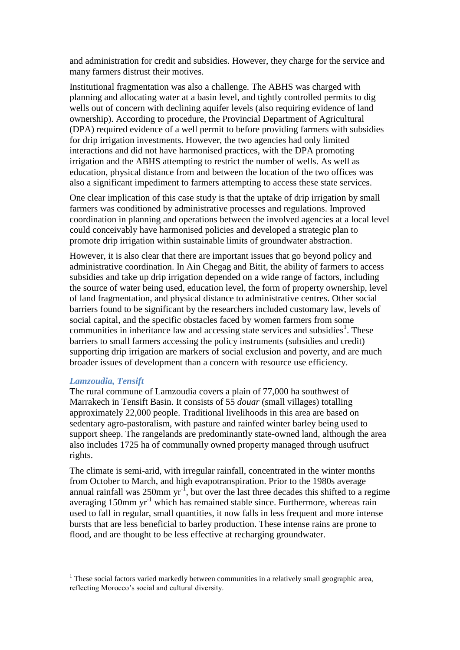and administration for credit and subsidies. However, they charge for the service and many farmers distrust their motives.

Institutional fragmentation was also a challenge. The ABHS was charged with planning and allocating water at a basin level, and tightly controlled permits to dig wells out of concern with declining aquifer levels (also requiring evidence of land ownership). According to procedure, the Provincial Department of Agricultural (DPA) required evidence of a well permit to before providing farmers with subsidies for drip irrigation investments. However, the two agencies had only limited interactions and did not have harmonised practices, with the DPA promoting irrigation and the ABHS attempting to restrict the number of wells. As well as education, physical distance from and between the location of the two offices was also a significant impediment to farmers attempting to access these state services.

One clear implication of this case study is that the uptake of drip irrigation by small farmers was conditioned by administrative processes and regulations. Improved coordination in planning and operations between the involved agencies at a local level could conceivably have harmonised policies and developed a strategic plan to promote drip irrigation within sustainable limits of groundwater abstraction.

However, it is also clear that there are important issues that go beyond policy and administrative coordination. In Ain Chegag and Bitit, the ability of farmers to access subsidies and take up drip irrigation depended on a wide range of factors, including the source of water being used, education level, the form of property ownership, level of land fragmentation, and physical distance to administrative centres. Other social barriers found to be significant by the researchers included customary law, levels of social capital, and the specific obstacles faced by women farmers from some communities in inheritance law and accessing state services and subsidies<sup>1</sup>. These barriers to small farmers accessing the policy instruments (subsidies and credit) supporting drip irrigation are markers of social exclusion and poverty, and are much broader issues of development than a concern with resource use efficiency.

#### *Lamzoudia, Tensift*

 $\overline{a}$ 

The rural commune of Lamzoudia covers a plain of 77,000 ha southwest of Marrakech in Tensift Basin. It consists of 55 *douar* (small villages) totalling approximately 22,000 people. Traditional livelihoods in this area are based on sedentary agro-pastoralism, with pasture and rainfed winter barley being used to support sheep. The rangelands are predominantly state-owned land, although the area also includes 1725 ha of communally owned property managed through usufruct rights.

The climate is semi-arid, with irregular rainfall, concentrated in the winter months from October to March, and high evapotranspiration. Prior to the 1980s average annual rainfall was  $250$ mm yr<sup>-1</sup>, but over the last three decades this shifted to a regime averaging 150mm  $yr^{-1}$  which has remained stable since. Furthermore, whereas rain used to fall in regular, small quantities, it now falls in less frequent and more intense bursts that are less beneficial to barley production. These intense rains are prone to flood, and are thought to be less effective at recharging groundwater.

 $1$  These social factors varied markedly between communities in a relatively small geographic area, reflecting Morocco's social and cultural diversity.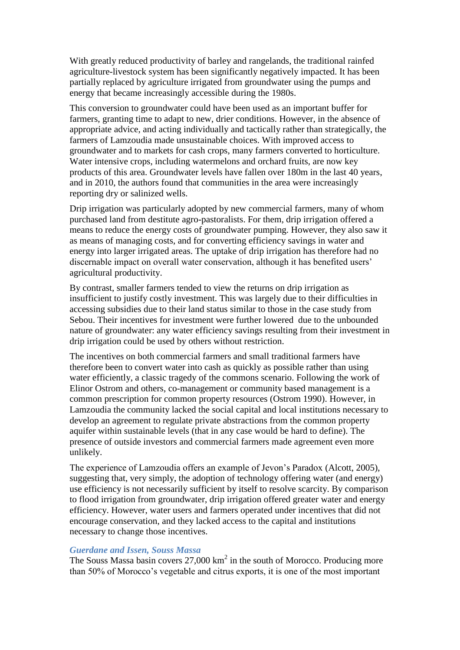With greatly reduced productivity of barley and rangelands, the traditional rainfed agriculture-livestock system has been significantly negatively impacted. It has been partially replaced by agriculture irrigated from groundwater using the pumps and energy that became increasingly accessible during the 1980s.

This conversion to groundwater could have been used as an important buffer for farmers, granting time to adapt to new, drier conditions. However, in the absence of appropriate advice, and acting individually and tactically rather than strategically, the farmers of Lamzoudia made unsustainable choices. With improved access to groundwater and to markets for cash crops, many farmers converted to horticulture. Water intensive crops, including watermelons and orchard fruits, are now key products of this area. Groundwater levels have fallen over 180m in the last 40 years, and in 2010, the authors found that communities in the area were increasingly reporting dry or salinized wells.

Drip irrigation was particularly adopted by new commercial farmers, many of whom purchased land from destitute agro-pastoralists. For them, drip irrigation offered a means to reduce the energy costs of groundwater pumping. However, they also saw it as means of managing costs, and for converting efficiency savings in water and energy into larger irrigated areas. The uptake of drip irrigation has therefore had no discernable impact on overall water conservation, although it has benefited users' agricultural productivity.

By contrast, smaller farmers tended to view the returns on drip irrigation as insufficient to justify costly investment. This was largely due to their difficulties in accessing subsidies due to their land status similar to those in the case study from Sebou. Their incentives for investment were further lowered due to the unbounded nature of groundwater: any water efficiency savings resulting from their investment in drip irrigation could be used by others without restriction.

The incentives on both commercial farmers and small traditional farmers have therefore been to convert water into cash as quickly as possible rather than using water efficiently, a classic tragedy of the commons scenario. Following the work of Elinor Ostrom and others, co-management or community based management is a common prescription for common property resources (Ostrom 1990). However, in Lamzoudia the community lacked the social capital and local institutions necessary to develop an agreement to regulate private abstractions from the common property aquifer within sustainable levels (that in any case would be hard to define). The presence of outside investors and commercial farmers made agreement even more unlikely.

The experience of Lamzoudia offers an example of Jevon's Paradox (Alcott, 2005), suggesting that, very simply, the adoption of technology offering water (and energy) use efficiency is not necessarily sufficient by itself to resolve scarcity. By comparison to flood irrigation from groundwater, drip irrigation offered greater water and energy efficiency. However, water users and farmers operated under incentives that did not encourage conservation, and they lacked access to the capital and institutions necessary to change those incentives.

### *Guerdane and Issen, Souss Massa*

The Souss Massa basin covers  $27,000 \text{ km}^2$  in the south of Morocco. Producing more than 50% of Morocco's vegetable and citrus exports, it is one of the most important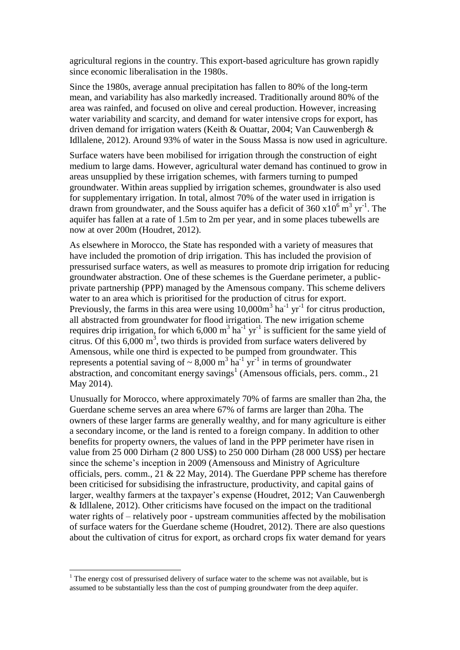agricultural regions in the country. This export-based agriculture has grown rapidly since economic liberalisation in the 1980s.

Since the 1980s, average annual precipitation has fallen to 80% of the long-term mean, and variability has also markedly increased. Traditionally around 80% of the area was rainfed, and focused on olive and cereal production. However, increasing water variability and scarcity, and demand for water intensive crops for export, has driven demand for irrigation waters (Keith & Ouattar, 2004; Van Cauwenbergh & Idllalene, 2012). Around 93% of water in the Souss Massa is now used in agriculture.

Surface waters have been mobilised for irrigation through the construction of eight medium to large dams. However, agricultural water demand has continued to grow in areas unsupplied by these irrigation schemes, with farmers turning to pumped groundwater. Within areas supplied by irrigation schemes, groundwater is also used for supplementary irrigation. In total, almost 70% of the water used in irrigation is drawn from groundwater, and the Souss aquifer has a deficit of  $360 \times 10^6$  m<sup>3</sup> yr<sup>-1</sup>. The aquifer has fallen at a rate of 1.5m to 2m per year, and in some places tubewells are now at over 200m (Houdret, 2012).

As elsewhere in Morocco, the State has responded with a variety of measures that have included the promotion of drip irrigation. This has included the provision of pressurised surface waters, as well as measures to promote drip irrigation for reducing groundwater abstraction. One of these schemes is the Guerdane perimeter, a publicprivate partnership (PPP) managed by the Amensous company. This scheme delivers water to an area which is prioritised for the production of citrus for export. Previously, the farms in this area were using  $10,000m^3$  ha<sup>-1</sup> yr<sup>-1</sup> for citrus production, all abstracted from groundwater for flood irrigation. The new irrigation scheme requires drip irrigation, for which 6,000  $m^3$  ha<sup>-1</sup> yr<sup>-1</sup> is sufficient for the same yield of citrus. Of this  $6,000 \text{ m}^3$ , two thirds is provided from surface waters delivered by Amensous, while one third is expected to be pumped from groundwater. This represents a potential saving of  $\sim 8,000 \text{ m}^3 \text{ ha}^{-1} \text{ yr}^{-1}$  in terms of groundwater abstraction, and concomitant energy savings<sup>1</sup> (Amensous officials, pers. comm., 21 May 2014).

Unusually for Morocco, where approximately 70% of farms are smaller than 2ha, the Guerdane scheme serves an area where 67% of farms are larger than 20ha. The owners of these larger farms are generally wealthy, and for many agriculture is either a secondary income, or the land is rented to a foreign company. In addition to other benefits for property owners, the values of land in the PPP perimeter have risen in value from 25 000 Dirham (2 800 US\$) to 250 000 Dirham (28 000 US\$) per hectare since the scheme's inception in 2009 (Amensouss and Ministry of Agriculture officials, pers. comm., 21 & 22 May, 2014). The Guerdane PPP scheme has therefore been criticised for subsidising the infrastructure, productivity, and capital gains of larger, wealthy farmers at the taxpayer's expense (Houdret, 2012; Van Cauwenbergh & Idllalene, 2012). Other criticisms have focused on the impact on the traditional water rights of – relatively poor - upstream communities affected by the mobilisation of surface waters for the Guerdane scheme (Houdret, 2012). There are also questions about the cultivation of citrus for export, as orchard crops fix water demand for years

 $\overline{a}$ 

<sup>&</sup>lt;sup>1</sup> The energy cost of pressurised delivery of surface water to the scheme was not available, but is assumed to be substantially less than the cost of pumping groundwater from the deep aquifer.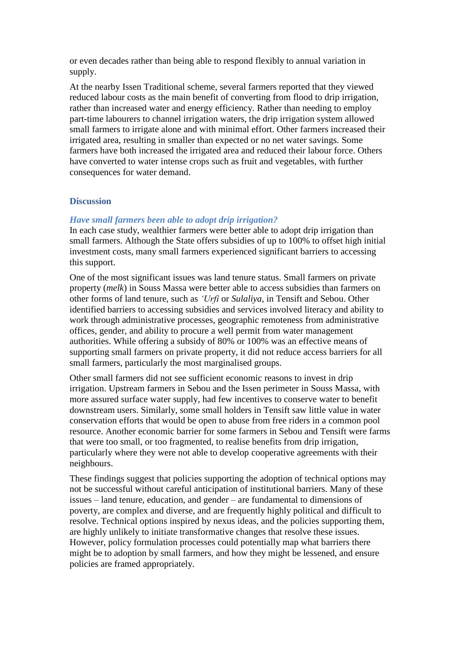or even decades rather than being able to respond flexibly to annual variation in supply.

At the nearby Issen Traditional scheme, several farmers reported that they viewed reduced labour costs as the main benefit of converting from flood to drip irrigation, rather than increased water and energy efficiency. Rather than needing to employ part-time labourers to channel irrigation waters, the drip irrigation system allowed small farmers to irrigate alone and with minimal effort. Other farmers increased their irrigated area, resulting in smaller than expected or no net water savings. Some farmers have both increased the irrigated area and reduced their labour force. Others have converted to water intense crops such as fruit and vegetables, with further consequences for water demand.

## **Discussion**

### *Have small farmers been able to adopt drip irrigation?*

In each case study, wealthier farmers were better able to adopt drip irrigation than small farmers. Although the State offers subsidies of up to 100% to offset high initial investment costs, many small farmers experienced significant barriers to accessing this support.

One of the most significant issues was land tenure status. Small farmers on private property (*melk*) in Souss Massa were better able to access subsidies than farmers on other forms of land tenure, such as *'Urfi* or *Sulaliya*, in Tensift and Sebou. Other identified barriers to accessing subsidies and services involved literacy and ability to work through administrative processes, geographic remoteness from administrative offices, gender, and ability to procure a well permit from water management authorities. While offering a subsidy of 80% or 100% was an effective means of supporting small farmers on private property, it did not reduce access barriers for all small farmers, particularly the most marginalised groups.

Other small farmers did not see sufficient economic reasons to invest in drip irrigation. Upstream farmers in Sebou and the Issen perimeter in Souss Massa, with more assured surface water supply, had few incentives to conserve water to benefit downstream users. Similarly, some small holders in Tensift saw little value in water conservation efforts that would be open to abuse from free riders in a common pool resource. Another economic barrier for some farmers in Sebou and Tensift were farms that were too small, or too fragmented, to realise benefits from drip irrigation, particularly where they were not able to develop cooperative agreements with their neighbours.

These findings suggest that policies supporting the adoption of technical options may not be successful without careful anticipation of institutional barriers. Many of these issues – land tenure, education, and gender – are fundamental to dimensions of poverty, are complex and diverse, and are frequently highly political and difficult to resolve. Technical options inspired by nexus ideas, and the policies supporting them, are highly unlikely to initiate transformative changes that resolve these issues. However, policy formulation processes could potentially map what barriers there might be to adoption by small farmers, and how they might be lessened, and ensure policies are framed appropriately.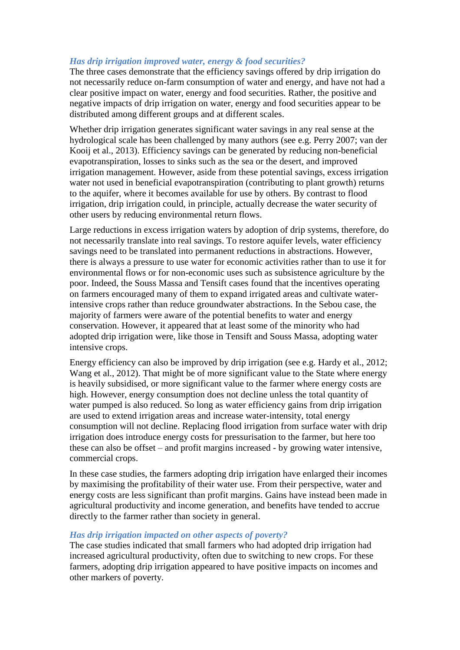# *Has drip irrigation improved water, energy & food securities?*

The three cases demonstrate that the efficiency savings offered by drip irrigation do not necessarily reduce on-farm consumption of water and energy, and have not had a clear positive impact on water, energy and food securities. Rather, the positive and negative impacts of drip irrigation on water, energy and food securities appear to be distributed among different groups and at different scales.

Whether drip irrigation generates significant water savings in any real sense at the hydrological scale has been challenged by many authors (see e.g. Perry 2007; van der Kooij et al., 2013). Efficiency savings can be generated by reducing non-beneficial evapotranspiration, losses to sinks such as the sea or the desert, and improved irrigation management. However, aside from these potential savings, excess irrigation water not used in beneficial evapotranspiration (contributing to plant growth) returns to the aquifer, where it becomes available for use by others. By contrast to flood irrigation, drip irrigation could, in principle, actually decrease the water security of other users by reducing environmental return flows.

Large reductions in excess irrigation waters by adoption of drip systems, therefore, do not necessarily translate into real savings. To restore aquifer levels, water efficiency savings need to be translated into permanent reductions in abstractions. However, there is always a pressure to use water for economic activities rather than to use it for environmental flows or for non-economic uses such as subsistence agriculture by the poor. Indeed, the Souss Massa and Tensift cases found that the incentives operating on farmers encouraged many of them to expand irrigated areas and cultivate waterintensive crops rather than reduce groundwater abstractions. In the Sebou case, the majority of farmers were aware of the potential benefits to water and energy conservation. However, it appeared that at least some of the minority who had adopted drip irrigation were, like those in Tensift and Souss Massa, adopting water intensive crops.

Energy efficiency can also be improved by drip irrigation (see e.g. Hardy et al., 2012; Wang et al., 2012). That might be of more significant value to the State where energy is heavily subsidised, or more significant value to the farmer where energy costs are high. However, energy consumption does not decline unless the total quantity of water pumped is also reduced. So long as water efficiency gains from drip irrigation are used to extend irrigation areas and increase water-intensity, total energy consumption will not decline. Replacing flood irrigation from surface water with drip irrigation does introduce energy costs for pressurisation to the farmer, but here too these can also be offset – and profit margins increased - by growing water intensive, commercial crops.

In these case studies, the farmers adopting drip irrigation have enlarged their incomes by maximising the profitability of their water use. From their perspective, water and energy costs are less significant than profit margins. Gains have instead been made in agricultural productivity and income generation, and benefits have tended to accrue directly to the farmer rather than society in general.

## *Has drip irrigation impacted on other aspects of poverty?*

The case studies indicated that small farmers who had adopted drip irrigation had increased agricultural productivity, often due to switching to new crops. For these farmers, adopting drip irrigation appeared to have positive impacts on incomes and other markers of poverty.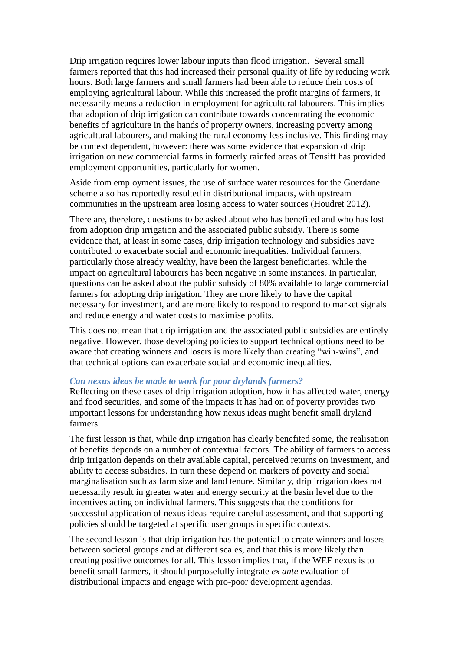Drip irrigation requires lower labour inputs than flood irrigation. Several small farmers reported that this had increased their personal quality of life by reducing work hours. Both large farmers and small farmers had been able to reduce their costs of employing agricultural labour. While this increased the profit margins of farmers, it necessarily means a reduction in employment for agricultural labourers. This implies that adoption of drip irrigation can contribute towards concentrating the economic benefits of agriculture in the hands of property owners, increasing poverty among agricultural labourers, and making the rural economy less inclusive. This finding may be context dependent, however: there was some evidence that expansion of drip irrigation on new commercial farms in formerly rainfed areas of Tensift has provided employment opportunities, particularly for women.

Aside from employment issues, the use of surface water resources for the Guerdane scheme also has reportedly resulted in distributional impacts, with upstream communities in the upstream area losing access to water sources (Houdret 2012).

There are, therefore, questions to be asked about who has benefited and who has lost from adoption drip irrigation and the associated public subsidy. There is some evidence that, at least in some cases, drip irrigation technology and subsidies have contributed to exacerbate social and economic inequalities. Individual farmers, particularly those already wealthy, have been the largest beneficiaries, while the impact on agricultural labourers has been negative in some instances. In particular, questions can be asked about the public subsidy of 80% available to large commercial farmers for adopting drip irrigation. They are more likely to have the capital necessary for investment, and are more likely to respond to respond to market signals and reduce energy and water costs to maximise profits.

This does not mean that drip irrigation and the associated public subsidies are entirely negative. However, those developing policies to support technical options need to be aware that creating winners and losers is more likely than creating "win-wins", and that technical options can exacerbate social and economic inequalities.

#### *Can nexus ideas be made to work for poor drylands farmers?*

Reflecting on these cases of drip irrigation adoption, how it has affected water, energy and food securities, and some of the impacts it has had on of poverty provides two important lessons for understanding how nexus ideas might benefit small dryland farmers.

The first lesson is that, while drip irrigation has clearly benefited some, the realisation of benefits depends on a number of contextual factors. The ability of farmers to access drip irrigation depends on their available capital, perceived returns on investment, and ability to access subsidies. In turn these depend on markers of poverty and social marginalisation such as farm size and land tenure. Similarly, drip irrigation does not necessarily result in greater water and energy security at the basin level due to the incentives acting on individual farmers. This suggests that the conditions for successful application of nexus ideas require careful assessment, and that supporting policies should be targeted at specific user groups in specific contexts.

The second lesson is that drip irrigation has the potential to create winners and losers between societal groups and at different scales, and that this is more likely than creating positive outcomes for all. This lesson implies that, if the WEF nexus is to benefit small farmers, it should purposefully integrate *ex ante* evaluation of distributional impacts and engage with pro-poor development agendas.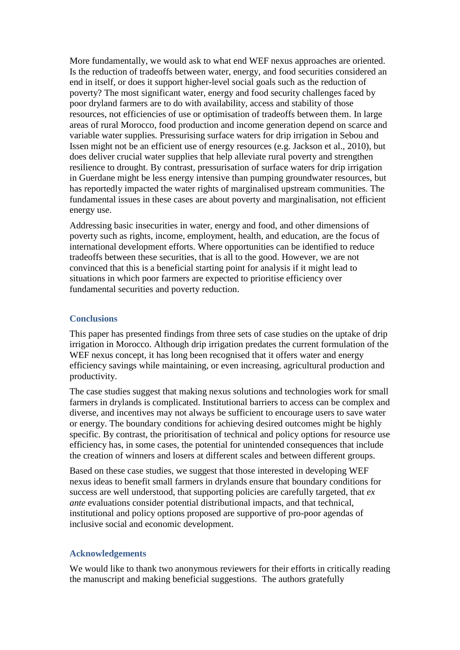More fundamentally, we would ask to what end WEF nexus approaches are oriented. Is the reduction of tradeoffs between water, energy, and food securities considered an end in itself, or does it support higher-level social goals such as the reduction of poverty? The most significant water, energy and food security challenges faced by poor dryland farmers are to do with availability, access and stability of those resources, not efficiencies of use or optimisation of tradeoffs between them. In large areas of rural Morocco, food production and income generation depend on scarce and variable water supplies. Pressurising surface waters for drip irrigation in Sebou and Issen might not be an efficient use of energy resources (e.g. Jackson et al., 2010), but does deliver crucial water supplies that help alleviate rural poverty and strengthen resilience to drought. By contrast, pressurisation of surface waters for drip irrigation in Guerdane might be less energy intensive than pumping groundwater resources, but has reportedly impacted the water rights of marginalised upstream communities. The fundamental issues in these cases are about poverty and marginalisation, not efficient energy use.

Addressing basic insecurities in water, energy and food, and other dimensions of poverty such as rights, income, employment, health, and education, are the focus of international development efforts. Where opportunities can be identified to reduce tradeoffs between these securities, that is all to the good. However, we are not convinced that this is a beneficial starting point for analysis if it might lead to situations in which poor farmers are expected to prioritise efficiency over fundamental securities and poverty reduction.

#### **Conclusions**

This paper has presented findings from three sets of case studies on the uptake of drip irrigation in Morocco. Although drip irrigation predates the current formulation of the WEF nexus concept, it has long been recognised that it offers water and energy efficiency savings while maintaining, or even increasing, agricultural production and productivity.

The case studies suggest that making nexus solutions and technologies work for small farmers in drylands is complicated. Institutional barriers to access can be complex and diverse, and incentives may not always be sufficient to encourage users to save water or energy. The boundary conditions for achieving desired outcomes might be highly specific. By contrast, the prioritisation of technical and policy options for resource use efficiency has, in some cases, the potential for unintended consequences that include the creation of winners and losers at different scales and between different groups.

Based on these case studies, we suggest that those interested in developing WEF nexus ideas to benefit small farmers in drylands ensure that boundary conditions for success are well understood, that supporting policies are carefully targeted, that *ex ante* evaluations consider potential distributional impacts, and that technical, institutional and policy options proposed are supportive of pro-poor agendas of inclusive social and economic development.

## **Acknowledgements**

We would like to thank two anonymous reviewers for their efforts in critically reading the manuscript and making beneficial suggestions. The authors gratefully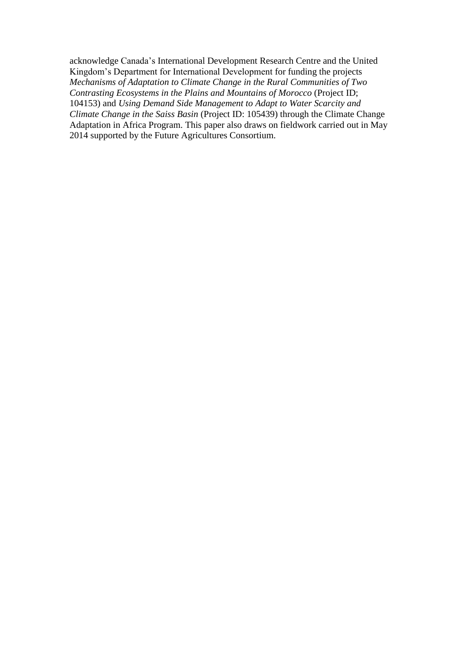acknowledge Canada's International Development Research Centre and the United Kingdom's Department for International Development for funding the projects *Mechanisms of Adaptation to Climate Change in the Rural Communities of Two Contrasting Ecosystems in the Plains and Mountains of Morocco* (Project ID; 104153) and *Using Demand Side Management to Adapt to Water Scarcity and Climate Change in the Saiss Basin* (Project ID: 105439) through the Climate Change Adaptation in Africa Program. This paper also draws on fieldwork carried out in May 2014 supported by the Future Agricultures Consortium.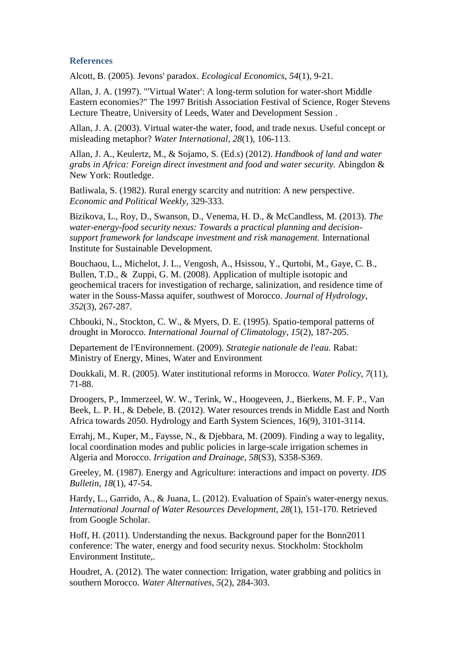### **References**

Alcott, B. (2005). Jevons' paradox. *Ecological Economics*, *54*(1), 9-21.

Allan, J. A. (1997). "'Virtual Water': A long-term solution for water-short Middle Eastern economies?" The 1997 British Association Festival of Science, Roger Stevens Lecture Theatre, University of Leeds, Water and Development Session .

Allan, J. A. (2003). Virtual water-the water, food, and trade nexus. Useful concept or misleading metaphor? *Water International*, *28*(1), 106-113.

Allan, J. A., Keulertz, M., & Sojamo, S. (Ed.s) (2012). *Handbook of land and water grabs in Africa: Foreign direct investment and food and water security.* Abingdon & New York: Routledge.

Batliwala, S. (1982). Rural energy scarcity and nutrition: A new perspective. *Economic and Political Weekly*, 329-333.

Bizikova, L., Roy, D., Swanson, D., Venema, H. D., & McCandless, M. (2013). *The water-energy-food security nexus: Towards a practical planning and decisionsupport framework for landscape investment and risk management.* International Institute for Sustainable Development.

Bouchaou, L., Michelot, J. L., Vengosh, A., Hsissou, Y., Qurtobi, M., Gaye, C. B., Bullen, T.D., & Zuppi, G. M. (2008). Application of multiple isotopic and geochemical tracers for investigation of recharge, salinization, and residence time of water in the Souss-Massa aquifer, southwest of Morocco. *Journal of Hydrology*, *352*(3), 267-287.

Chbouki, N., Stockton, C. W., & Myers, D. E. (1995). Spatio-temporal patterns of drought in Morocco. *International Journal of Climatology*, *15*(2), 187-205.

Departement de l'Environnement. (2009). *Strategie nationale de l'eau.* Rabat: Ministry of Energy, Mines, Water and Environment

Doukkali, M. R. (2005). Water institutional reforms in Morocco. *Water Policy*, *7*(11), 71-88.

Droogers, P., Immerzeel, W. W., Terink, W., Hoogeveen, J., Bierkens, M. F. P., Van Beek, L. P. H., & Debele, B. (2012). Water resources trends in Middle East and North Africa towards 2050. Hydrology and Earth System Sciences, 16(9), 3101-3114.

Errahj, M., Kuper, M., Faysse, N., & Djebbara, M. (2009). Finding a way to legality, local coordination modes and public policies in large-scale irrigation schemes in Algeria and Morocco. *Irrigation and Drainage*, *58*(S3), S358-S369.

Greeley, M. (1987). Energy and Agriculture: interactions and impact on poverty. *IDS Bulletin*, *18*(1), 47-54.

Hardy, L., Garrido, A., & Juana, L. (2012). Evaluation of Spain's water-energy nexus. *International Journal of Water Resources Development*, *28*(1), 151-170. Retrieved from Google Scholar.

Hoff, H. (2011). Understanding the nexus. Background paper for the Bonn2011 conference: The water, energy and food security nexus. Stockholm: Stockholm Environment Institute,.

Houdret, A. (2012). The water connection: Irrigation, water grabbing and politics in southern Morocco. *Water Alternatives*, *5*(2), 284-303.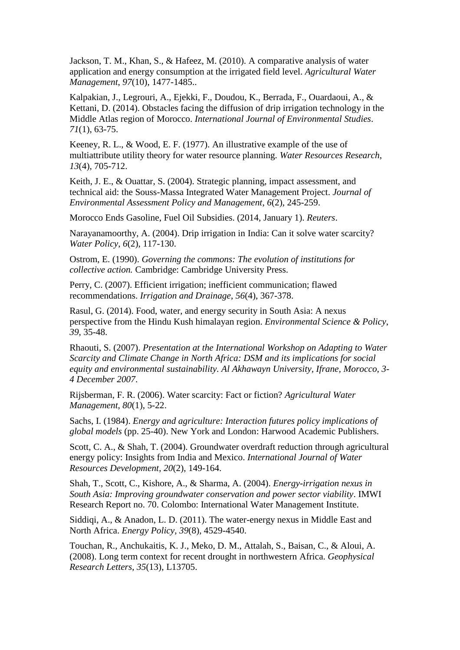Jackson, T. M., Khan, S., & Hafeez, M. (2010). A comparative analysis of water application and energy consumption at the irrigated field level. *Agricultural Water Management*, *97*(10), 1477-1485..

Kalpakian, J., Legrouri, A., Ejekki, F., Doudou, K., Berrada, F., Ouardaoui, A., & Kettani, D. (2014). Obstacles facing the diffusion of drip irrigation technology in the Middle Atlas region of Morocco. *International Journal of Environmental Studies*. *71*(1), 63-75.

Keeney, R. L., & Wood, E. F. (1977). An illustrative example of the use of multiattribute utility theory for water resource planning. *Water Resources Research*, *13*(4), 705-712.

Keith, J. E., & Ouattar, S. (2004). Strategic planning, impact assessment, and technical aid: the Souss-Massa Integrated Water Management Project. *Journal of Environmental Assessment Policy and Management*, *6*(2), 245-259.

Morocco Ends Gasoline, Fuel Oil Subsidies. (2014, January 1). *Reuters*.

Narayanamoorthy, A. (2004). Drip irrigation in India: Can it solve water scarcity? *Water Policy*, *6*(2), 117-130.

Ostrom, E. (1990). *Governing the commons: The evolution of institutions for collective action.* Cambridge: Cambridge University Press.

Perry, C. (2007). Efficient irrigation; inefficient communication; flawed recommendations. *Irrigation and Drainage*, *56*(4), 367-378.

Rasul, G. (2014). Food, water, and energy security in South Asia: A nexus perspective from the Hindu Kush himalayan region. *Environmental Science & Policy*, *39*, 35-48.

Rhaouti, S. (2007). *Presentation at the International Workshop on Adapting to Water Scarcity and Climate Change in North Africa: DSM and its implications for social equity and environmental sustainability. Al Akhawayn University, Ifrane, Morocco, 3- 4 December 2007*.

Rijsberman, F. R. (2006). Water scarcity: Fact or fiction? *Agricultural Water Management*, *80*(1), 5-22.

Sachs, I. (1984). *Energy and agriculture: Interaction futures policy implications of global models* (pp. 25-40). New York and London: Harwood Academic Publishers.

Scott, C. A., & Shah, T. (2004). Groundwater overdraft reduction through agricultural energy policy: Insights from India and Mexico. *International Journal of Water Resources Development*, *20*(2), 149-164.

Shah, T., Scott, C., Kishore, A., & Sharma, A. (2004). *Energy-irrigation nexus in South Asia: Improving groundwater conservation and power sector viability*. IMWI Research Report no. 70. Colombo: International Water Management Institute.

Siddiqi, A., & Anadon, L. D. (2011). The water-energy nexus in Middle East and North Africa. *Energy Policy*, *39*(8), 4529-4540.

Touchan, R., Anchukaitis, K. J., Meko, D. M., Attalah, S., Baisan, C., & Aloui, A. (2008). Long term context for recent drought in northwestern Africa. *Geophysical Research Letters*, *35*(13), L13705.